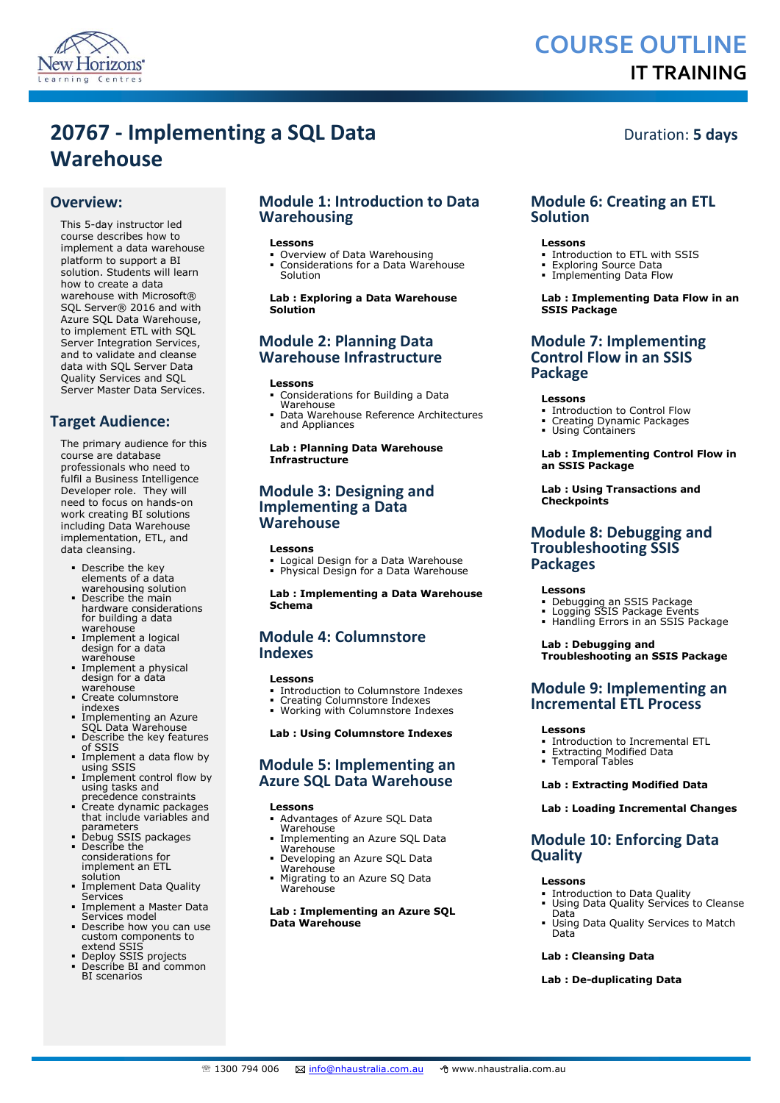

# **COURSE OUTLINE IT TRAINING**

# **20767 - Implementing a SQL Data Warehouse**

## **Overview:**

This 5-day instructor led course describes how to implement a data warehouse platform to support a BI solution. Students will learn how to create a data warehouse with Microsoft® SQL Server® 2016 and with Azure SQL Data Warehouse, to implement ETL with SQL Server Integration Services. and to validate and cleanse data with SQL Server Data Quality Services and SQL Server Master Data Services.

## **Target Audience:**

The primary audience for this course are database professionals who need to fulfil a Business Intelligence Developer role. They will need to focus on hands-on work creating BI solutions including Data Warehouse implementation, ETL, and data cleansing.

- Describe the key elements of a data warehousing solution
- Describe the main hardware considerations for building a data warehouse
- Implement a logical design for a data warehouse
- Implement a physical design for a data warehouse
- Create columnstore indexes
- Implementing an Azure SQL Data Warehouse
- Describe the key features of SSIS
- Implement a data flow by using SSIS
- **Implement control flow by** using tasks and precedence constraints
- Create dynamic packages that include variables and parameters
- Debug SSIS packages Describe the
- considerations for implement an ETL solution **Implement Data Quality**
- **Services** Implement a Master Data
- Services model Describe how you can use
- custom components to extend SSIS
- Deploy SSIS projects Describe BI and common BI scenarios

## **Module 1: Introduction to Data Warehousing**

### **Lessons**

- Overview of Data Warehousing Considerations for a Data Warehouse
- Solution

## **Lab : Exploring a Data Warehouse Solution**

## **Module 2: Planning Data Warehouse Infrastructure**

### **Lessons**

- Considerations for Building a Data Warehouse
- Data Warehouse Reference Architectures and Appliances

## **Lab : Planning Data Warehouse Infrastructure**

## **Module 3: Designing and Implementing a Data Warehouse**

### **Lessons**

Logical Design for a Data Warehouse Physical Design for a Data Warehouse

**Lab : Implementing a Data Warehouse Schema**

## **Module 4: Columnstore Indexes**

### **Lessons**

- Introduction to Columnstore Indexes
- Creating Columnstore Indexes Working with Columnstore Indexes
- **Lab : Using Columnstore Indexes**

## **Module 5: Implementing an Azure SQL Data Warehouse**

### **Lessons**

- Advantages of Azure SQL Data Warehouse
- Implementing an Azure SQL Data Warehouse
- Developing an Azure SQL Data Warehouse
- Migrating to an Azure SQ Data Warehouse

### **Lab : Implementing an Azure SQL Data Warehouse**

## Duration: **5 days**

## **Module 6: Creating an ETL Solution**

### **Lessons**

- **Introduction to ETL with SSIS**
- Exploring Source Data Implementing Data Flow
- 

### **Lab : Implementing Data Flow in an SSIS Package**

## **Module 7: Implementing Control Flow in an SSIS Package**

### **Lessons**

- Introduction to Control Flow
- Creating Dynamic Packages Using Containers
- 

### **Lab : Implementing Control Flow in an SSIS Package**

### **Lab : Using Transactions and Checkpoints**

## **Module 8: Debugging and Troubleshooting SSIS Packages**

## **Lessons**

- Debugging an SSIS Package
- Logging SSIS Package Events Handling Errors in an SSIS Package

### **Lab : Debugging and Troubleshooting an SSIS Package**

## **Module 9: Implementing an Incremental ETL Process**

## **Lessons**

- Introduction to Incremental ETL
- Extracting Modified Data Temporal Tables

## **Lab : Extracting Modified Data**

## **Lab : Loading Incremental Changes**

## **Module 10: Enforcing Data Quality**

### **Lessons**

- **Introduction to Data Quality**
- Using Data Quality Services to Cleanse Data
- Using Data Quality Services to Match Data

## **Lab : Cleansing Data**

## **Lab : De-duplicating Data**